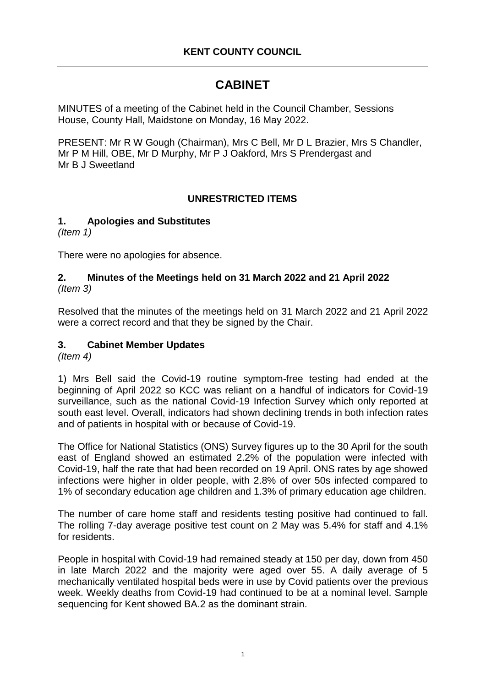# **CABINET**

MINUTES of a meeting of the Cabinet held in the Council Chamber, Sessions House, County Hall, Maidstone on Monday, 16 May 2022.

PRESENT: Mr R W Gough (Chairman), Mrs C Bell, Mr D L Brazier, Mrs S Chandler, Mr P M Hill, OBE, Mr D Murphy, Mr P J Oakford, Mrs S Prendergast and Mr B J Sweetland

## **UNRESTRICTED ITEMS**

#### **1. Apologies and Substitutes**

*(Item 1)*

There were no apologies for absence.

#### **2. Minutes of the Meetings held on 31 March 2022 and 21 April 2022** *(Item 3)*

Resolved that the minutes of the meetings held on 31 March 2022 and 21 April 2022 were a correct record and that they be signed by the Chair.

## **3. Cabinet Member Updates**

*(Item 4)*

1) Mrs Bell said the Covid-19 routine symptom-free testing had ended at the beginning of April 2022 so KCC was reliant on a handful of indicators for Covid-19 surveillance, such as the national Covid-19 Infection Survey which only reported at south east level. Overall, indicators had shown declining trends in both infection rates and of patients in hospital with or because of Covid-19.

The Office for National Statistics (ONS) Survey figures up to the 30 April for the south east of England showed an estimated 2.2% of the population were infected with Covid-19, half the rate that had been recorded on 19 April. ONS rates by age showed infections were higher in older people, with 2.8% of over 50s infected compared to 1% of secondary education age children and 1.3% of primary education age children.

The number of care home staff and residents testing positive had continued to fall. The rolling 7-day average positive test count on 2 May was 5.4% for staff and 4.1% for residents.

People in hospital with Covid-19 had remained steady at 150 per day, down from 450 in late March 2022 and the majority were aged over 55. A daily average of 5 mechanically ventilated hospital beds were in use by Covid patients over the previous week. Weekly deaths from Covid-19 had continued to be at a nominal level. Sample sequencing for Kent showed BA.2 as the dominant strain.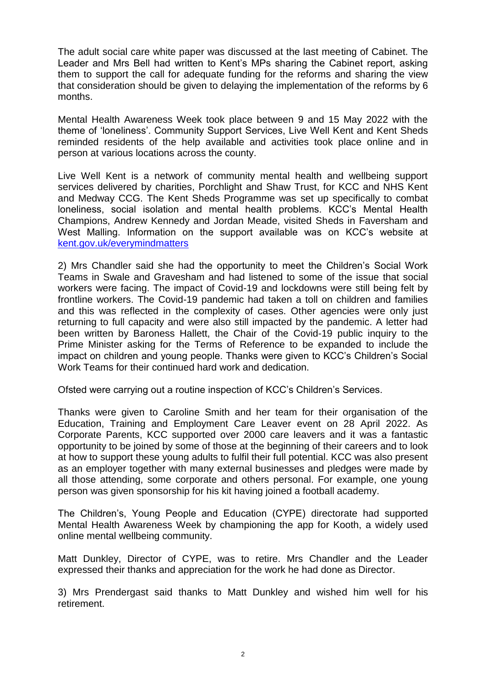The adult social care white paper was discussed at the last meeting of Cabinet. The Leader and Mrs Bell had written to Kent's MPs sharing the Cabinet report, asking them to support the call for adequate funding for the reforms and sharing the view that consideration should be given to delaying the implementation of the reforms by 6 months.

Mental Health Awareness Week took place between 9 and 15 May 2022 with the theme of 'loneliness'. Community Support Services, Live Well Kent and Kent Sheds reminded residents of the help available and activities took place online and in person at various locations across the county.

Live Well Kent is a network of community mental health and wellbeing support services delivered by charities, Porchlight and Shaw Trust, for KCC and NHS Kent and Medway CCG. The Kent Sheds Programme was set up specifically to combat loneliness, social isolation and mental health problems. KCC's Mental Health Champions, Andrew Kennedy and Jordan Meade, visited Sheds in Faversham and West Malling. Information on the support available was on KCC's website at [kent.gov.uk/everymindmatters](https://www.kent.gov.uk/social-care-and-health/health/one-you-kent/every-mind-matters)

2) Mrs Chandler said she had the opportunity to meet the Children's Social Work Teams in Swale and Gravesham and had listened to some of the issue that social workers were facing. The impact of Covid-19 and lockdowns were still being felt by frontline workers. The Covid-19 pandemic had taken a toll on children and families and this was reflected in the complexity of cases. Other agencies were only just returning to full capacity and were also still impacted by the pandemic. A letter had been written by Baroness Hallett, the Chair of the Covid-19 public inquiry to the Prime Minister asking for the Terms of Reference to be expanded to include the impact on children and young people. Thanks were given to KCC's Children's Social Work Teams for their continued hard work and dedication.

Ofsted were carrying out a routine inspection of KCC's Children's Services.

Thanks were given to Caroline Smith and her team for their organisation of the Education, Training and Employment Care Leaver event on 28 April 2022. As Corporate Parents, KCC supported over 2000 care leavers and it was a fantastic opportunity to be joined by some of those at the beginning of their careers and to look at how to support these young adults to fulfil their full potential. KCC was also present as an employer together with many external businesses and pledges were made by all those attending, some corporate and others personal. For example, one young person was given sponsorship for his kit having joined a football academy.

The Children's, Young People and Education (CYPE) directorate had supported Mental Health Awareness Week by championing the app for Kooth, a widely used online mental wellbeing community.

Matt Dunkley, Director of CYPE, was to retire. Mrs Chandler and the Leader expressed their thanks and appreciation for the work he had done as Director.

3) Mrs Prendergast said thanks to Matt Dunkley and wished him well for his retirement.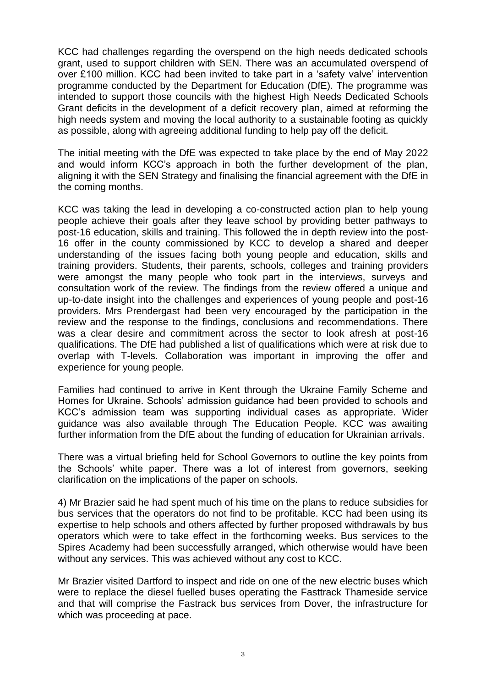KCC had challenges regarding the overspend on the high needs dedicated schools grant, used to support children with SEN. There was an accumulated overspend of over £100 million. KCC had been invited to take part in a 'safety valve' intervention programme conducted by the Department for Education (DfE). The programme was intended to support those councils with the highest High Needs Dedicated Schools Grant deficits in the development of a deficit recovery plan, aimed at reforming the high needs system and moving the local authority to a sustainable footing as quickly as possible, along with agreeing additional funding to help pay off the deficit.

The initial meeting with the DfE was expected to take place by the end of May 2022 and would inform KCC's approach in both the further development of the plan, aligning it with the SEN Strategy and finalising the financial agreement with the DfE in the coming months.

KCC was taking the lead in developing a co-constructed action plan to help young people achieve their goals after they leave school by providing better pathways to post-16 education, skills and training. This followed the in depth review into the post-16 offer in the county commissioned by KCC to develop a shared and deeper understanding of the issues facing both young people and education, skills and training providers. Students, their parents, schools, colleges and training providers were amongst the many people who took part in the interviews, surveys and consultation work of the review. The findings from the review offered a unique and up-to-date insight into the challenges and experiences of young people and post-16 providers. Mrs Prendergast had been very encouraged by the participation in the review and the response to the findings, conclusions and recommendations. There was a clear desire and commitment across the sector to look afresh at post-16 qualifications. The DfE had published a list of qualifications which were at risk due to overlap with T-levels. Collaboration was important in improving the offer and experience for young people.

Families had continued to arrive in Kent through the Ukraine Family Scheme and Homes for Ukraine. Schools' admission guidance had been provided to schools and KCC's admission team was supporting individual cases as appropriate. Wider guidance was also available through The Education People. KCC was awaiting further information from the DfE about the funding of education for Ukrainian arrivals.

There was a virtual briefing held for School Governors to outline the key points from the Schools' white paper. There was a lot of interest from governors, seeking clarification on the implications of the paper on schools.

4) Mr Brazier said he had spent much of his time on the plans to reduce subsidies for bus services that the operators do not find to be profitable. KCC had been using its expertise to help schools and others affected by further proposed withdrawals by bus operators which were to take effect in the forthcoming weeks. Bus services to the Spires Academy had been successfully arranged, which otherwise would have been without any services. This was achieved without any cost to KCC.

Mr Brazier visited Dartford to inspect and ride on one of the new electric buses which were to replace the diesel fuelled buses operating the Fasttrack Thameside service and that will comprise the Fastrack bus services from Dover, the infrastructure for which was proceeding at pace.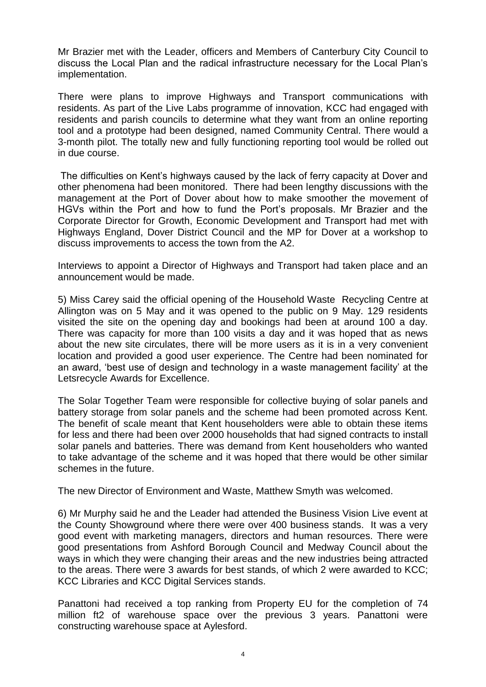Mr Brazier met with the Leader, officers and Members of Canterbury City Council to discuss the Local Plan and the radical infrastructure necessary for the Local Plan's implementation.

There were plans to improve Highways and Transport communications with residents. As part of the Live Labs programme of innovation, KCC had engaged with residents and parish councils to determine what they want from an online reporting tool and a prototype had been designed, named Community Central. There would a 3-month pilot. The totally new and fully functioning reporting tool would be rolled out in due course.

The difficulties on Kent's highways caused by the lack of ferry capacity at Dover and other phenomena had been monitored. There had been lengthy discussions with the management at the Port of Dover about how to make smoother the movement of HGVs within the Port and how to fund the Port's proposals. Mr Brazier and the Corporate Director for Growth, Economic Development and Transport had met with Highways England, Dover District Council and the MP for Dover at a workshop to discuss improvements to access the town from the A2.

Interviews to appoint a Director of Highways and Transport had taken place and an announcement would be made.

5) Miss Carey said the official opening of the Household Waste Recycling Centre at Allington was on 5 May and it was opened to the public on 9 May. 129 residents visited the site on the opening day and bookings had been at around 100 a day. There was capacity for more than 100 visits a day and it was hoped that as news about the new site circulates, there will be more users as it is in a very convenient location and provided a good user experience. The Centre had been nominated for an award, 'best use of design and technology in a waste management facility' at the Letsrecycle Awards for Excellence.

The Solar Together Team were responsible for collective buying of solar panels and battery storage from solar panels and the scheme had been promoted across Kent. The benefit of scale meant that Kent householders were able to obtain these items for less and there had been over 2000 households that had signed contracts to install solar panels and batteries. There was demand from Kent householders who wanted to take advantage of the scheme and it was hoped that there would be other similar schemes in the future.

The new Director of Environment and Waste, Matthew Smyth was welcomed.

6) Mr Murphy said he and the Leader had attended the Business Vision Live event at the County Showground where there were over 400 business stands. It was a very good event with marketing managers, directors and human resources. There were good presentations from Ashford Borough Council and Medway Council about the ways in which they were changing their areas and the new industries being attracted to the areas. There were 3 awards for best stands, of which 2 were awarded to KCC; KCC Libraries and KCC Digital Services stands.

Panattoni had received a top ranking from Property EU for the completion of 74 million ft2 of warehouse space over the previous 3 years. Panattoni were constructing warehouse space at Aylesford.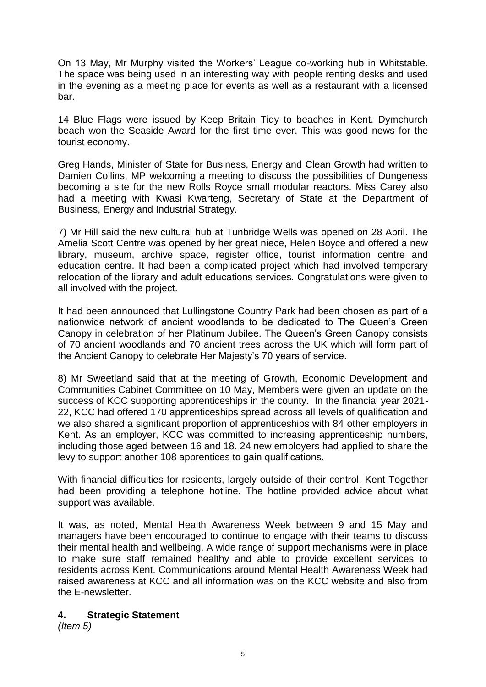On 13 May, Mr Murphy visited the Workers' League co-working hub in Whitstable. The space was being used in an interesting way with people renting desks and used in the evening as a meeting place for events as well as a restaurant with a licensed bar.

14 Blue Flags were issued by Keep Britain Tidy to beaches in Kent. Dymchurch beach won the Seaside Award for the first time ever. This was good news for the tourist economy.

Greg Hands, Minister of State for Business, Energy and Clean Growth had written to Damien Collins, MP welcoming a meeting to discuss the possibilities of Dungeness becoming a site for the new Rolls Royce small modular reactors. Miss Carey also had a meeting with Kwasi Kwarteng, Secretary of State at the Department of Business, Energy and Industrial Strategy.

7) Mr Hill said the new cultural hub at Tunbridge Wells was opened on 28 April. The Amelia Scott Centre was opened by her great niece, Helen Boyce and offered a new library, museum, archive space, register office, tourist information centre and education centre. It had been a complicated project which had involved temporary relocation of the library and adult educations services. Congratulations were given to all involved with the project.

It had been announced that Lullingstone Country Park had been chosen as part of a nationwide network of ancient woodlands to be dedicated to The Queen's Green Canopy in celebration of her Platinum Jubilee. The Queen's Green Canopy consists of 70 ancient woodlands and 70 ancient trees across the UK which will form part of the Ancient Canopy to celebrate Her Majesty's 70 years of service.

8) Mr Sweetland said that at the meeting of Growth, Economic Development and Communities Cabinet Committee on 10 May, Members were given an update on the success of KCC supporting apprenticeships in the county. In the financial year 2021- 22, KCC had offered 170 apprenticeships spread across all levels of qualification and we also shared a significant proportion of apprenticeships with 84 other employers in Kent. As an employer, KCC was committed to increasing apprenticeship numbers, including those aged between 16 and 18. 24 new employers had applied to share the levy to support another 108 apprentices to gain qualifications.

With financial difficulties for residents, largely outside of their control, Kent Together had been providing a telephone hotline. The hotline provided advice about what support was available.

It was, as noted, Mental Health Awareness Week between 9 and 15 May and managers have been encouraged to continue to engage with their teams to discuss their mental health and wellbeing. A wide range of support mechanisms were in place to make sure staff remained healthy and able to provide excellent services to residents across Kent. Communications around Mental Health Awareness Week had raised awareness at KCC and all information was on the KCC website and also from the E-newsletter.

#### **4. Strategic Statement**

*(Item 5)*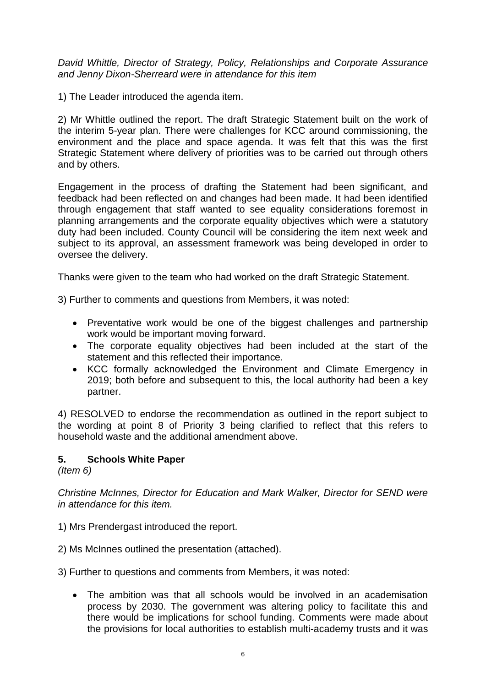*David Whittle, Director of Strategy, Policy, Relationships and Corporate Assurance and Jenny Dixon-Sherreard were in attendance for this item*

1) The Leader introduced the agenda item.

2) Mr Whittle outlined the report. The draft Strategic Statement built on the work of the interim 5-year plan. There were challenges for KCC around commissioning, the environment and the place and space agenda. It was felt that this was the first Strategic Statement where delivery of priorities was to be carried out through others and by others.

Engagement in the process of drafting the Statement had been significant, and feedback had been reflected on and changes had been made. It had been identified through engagement that staff wanted to see equality considerations foremost in planning arrangements and the corporate equality objectives which were a statutory duty had been included. County Council will be considering the item next week and subject to its approval, an assessment framework was being developed in order to oversee the delivery.

Thanks were given to the team who had worked on the draft Strategic Statement.

3) Further to comments and questions from Members, it was noted:

- Preventative work would be one of the biggest challenges and partnership work would be important moving forward.
- The corporate equality objectives had been included at the start of the statement and this reflected their importance.
- KCC formally acknowledged the Environment and Climate Emergency in 2019; both before and subsequent to this, the local authority had been a key partner.

4) RESOLVED to endorse the recommendation as outlined in the report subject to the wording at point 8 of Priority 3 being clarified to reflect that this refers to household waste and the additional amendment above.

## **5. Schools White Paper**

*(Item 6)*

*Christine McInnes, Director for Education and Mark Walker, Director for SEND were in attendance for this item.*

- 1) Mrs Prendergast introduced the report.
- 2) Ms McInnes outlined the presentation (attached).
- 3) Further to questions and comments from Members, it was noted:
	- The ambition was that all schools would be involved in an academisation process by 2030. The government was altering policy to facilitate this and there would be implications for school funding. Comments were made about the provisions for local authorities to establish multi-academy trusts and it was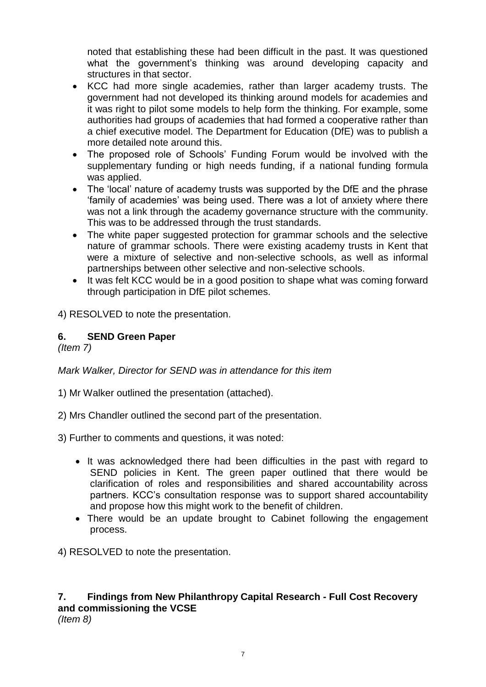noted that establishing these had been difficult in the past. It was questioned what the government's thinking was around developing capacity and structures in that sector.

- KCC had more single academies, rather than larger academy trusts. The government had not developed its thinking around models for academies and it was right to pilot some models to help form the thinking. For example, some authorities had groups of academies that had formed a cooperative rather than a chief executive model. The Department for Education (DfE) was to publish a more detailed note around this.
- The proposed role of Schools' Funding Forum would be involved with the supplementary funding or high needs funding, if a national funding formula was applied.
- The 'local' nature of academy trusts was supported by the DfE and the phrase 'family of academies' was being used. There was a lot of anxiety where there was not a link through the academy governance structure with the community. This was to be addressed through the trust standards.
- The white paper suggested protection for grammar schools and the selective nature of grammar schools. There were existing academy trusts in Kent that were a mixture of selective and non-selective schools, as well as informal partnerships between other selective and non-selective schools.
- It was felt KCC would be in a good position to shape what was coming forward through participation in DfE pilot schemes.

4) RESOLVED to note the presentation.

## **6. SEND Green Paper**

*(Item 7)*

*Mark Walker, Director for SEND was in attendance for this item*

- 1) Mr Walker outlined the presentation (attached).
- 2) Mrs Chandler outlined the second part of the presentation.
- 3) Further to comments and questions, it was noted:
	- It was acknowledged there had been difficulties in the past with regard to SEND policies in Kent. The green paper outlined that there would be clarification of roles and responsibilities and shared accountability across partners. KCC's consultation response was to support shared accountability and propose how this might work to the benefit of children.
	- There would be an update brought to Cabinet following the engagement process.

4) RESOLVED to note the presentation.

## **7. Findings from New Philanthropy Capital Research - Full Cost Recovery and commissioning the VCSE**

*(Item 8)*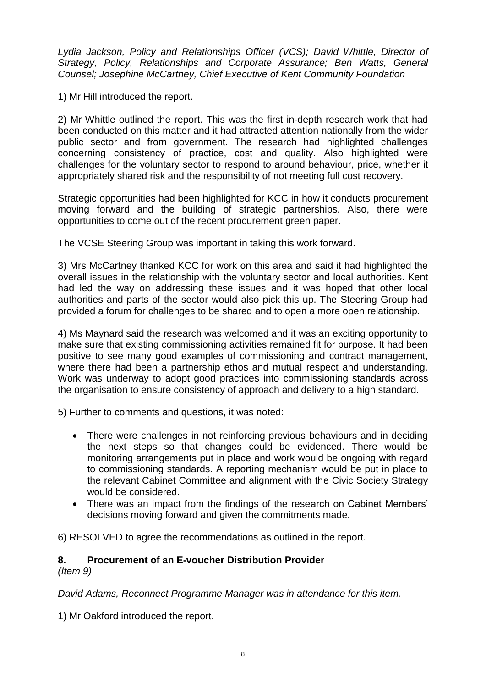*Lydia Jackson, Policy and Relationships Officer (VCS); David Whittle, Director of Strategy, Policy, Relationships and Corporate Assurance; Ben Watts, General Counsel; Josephine McCartney, Chief Executive of Kent Community Foundation*

1) Mr Hill introduced the report.

2) Mr Whittle outlined the report. This was the first in-depth research work that had been conducted on this matter and it had attracted attention nationally from the wider public sector and from government. The research had highlighted challenges concerning consistency of practice, cost and quality. Also highlighted were challenges for the voluntary sector to respond to around behaviour, price, whether it appropriately shared risk and the responsibility of not meeting full cost recovery.

Strategic opportunities had been highlighted for KCC in how it conducts procurement moving forward and the building of strategic partnerships. Also, there were opportunities to come out of the recent procurement green paper.

The VCSE Steering Group was important in taking this work forward.

3) Mrs McCartney thanked KCC for work on this area and said it had highlighted the overall issues in the relationship with the voluntary sector and local authorities. Kent had led the way on addressing these issues and it was hoped that other local authorities and parts of the sector would also pick this up. The Steering Group had provided a forum for challenges to be shared and to open a more open relationship.

4) Ms Maynard said the research was welcomed and it was an exciting opportunity to make sure that existing commissioning activities remained fit for purpose. It had been positive to see many good examples of commissioning and contract management, where there had been a partnership ethos and mutual respect and understanding. Work was underway to adopt good practices into commissioning standards across the organisation to ensure consistency of approach and delivery to a high standard.

5) Further to comments and questions, it was noted:

- There were challenges in not reinforcing previous behaviours and in deciding the next steps so that changes could be evidenced. There would be monitoring arrangements put in place and work would be ongoing with regard to commissioning standards. A reporting mechanism would be put in place to the relevant Cabinet Committee and alignment with the Civic Society Strategy would be considered.
- There was an impact from the findings of the research on Cabinet Members' decisions moving forward and given the commitments made.

6) RESOLVED to agree the recommendations as outlined in the report.

#### **8. Procurement of an E-voucher Distribution Provider** *(Item 9)*

*David Adams, Reconnect Programme Manager was in attendance for this item.*

1) Mr Oakford introduced the report.